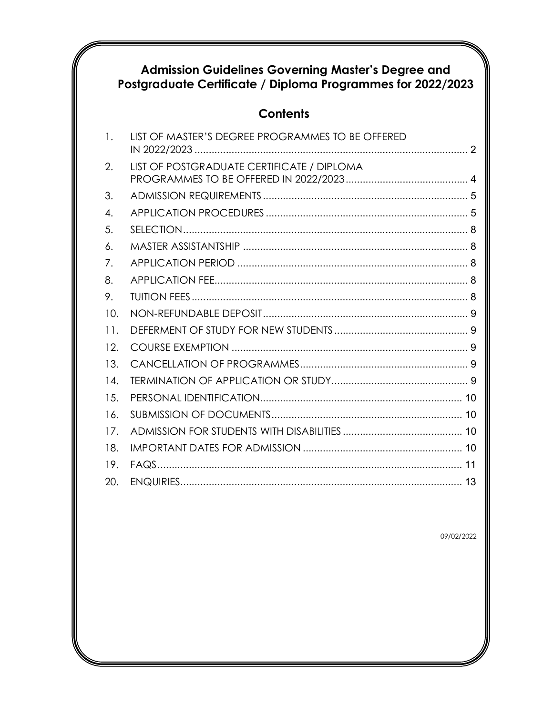# Admission Guidelines Governing Master's Degree and<br>Postgraduate Certificate / Diploma Programmes for 2022/2023

# **Contents**

| $\mathbf{1}$ . | LIST OF MASTER'S DEGREE PROGRAMMES TO BE OFFERED |
|----------------|--------------------------------------------------|
| 2.             | LIST OF POSTGRADUATE CERTIFICATE / DIPLOMA       |
| 3.             |                                                  |
| 4.             |                                                  |
| 5.             |                                                  |
| 6.             |                                                  |
| 7.             |                                                  |
| 8.             |                                                  |
| 9.             |                                                  |
| 10.            |                                                  |
| 11.            |                                                  |
| 12.            |                                                  |
| 13.            |                                                  |
| 14.            |                                                  |
| 15.            |                                                  |
| 16.            |                                                  |
| 17.            |                                                  |
| 18.            |                                                  |
| 19.            |                                                  |
| 20.            |                                                  |

09/02/2022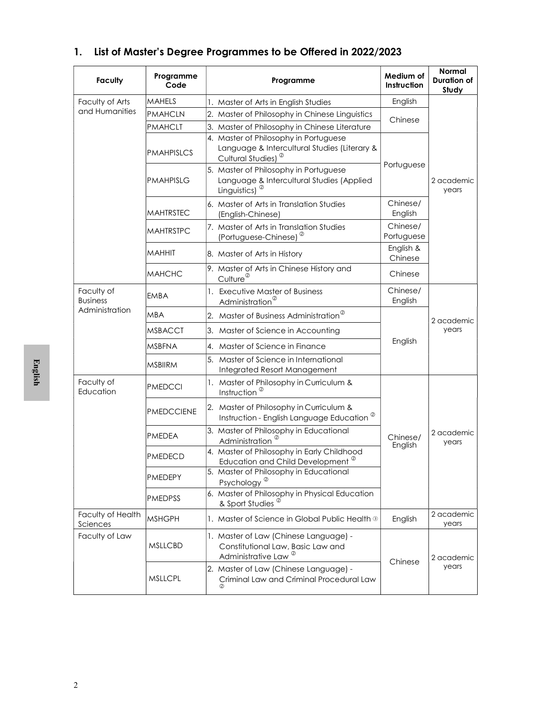| <b>Faculty</b>                | Programme<br>Code                   | Programme                                                                                                                                                               | Medium of<br>Instruction | <b>Normal</b><br><b>Duration of</b><br>Study |
|-------------------------------|-------------------------------------|-------------------------------------------------------------------------------------------------------------------------------------------------------------------------|--------------------------|----------------------------------------------|
| Faculty of Arts               | MAHELS                              | 1. Master of Arts in English Studies                                                                                                                                    | English                  |                                              |
| and Humanities                | <b>PMAHCLN</b>                      | 2. Master of Philosophy in Chinese Linguistics                                                                                                                          | Chinese                  |                                              |
|                               | <b>PMAHCLT</b><br><b>PMAHPISLCS</b> | 3. Master of Philosophy in Chinese Literature<br>4. Master of Philosophy in Portuguese<br>Language & Intercultural Studies (Literary &                                  |                          |                                              |
|                               | <b>PMAHPISLG</b>                    | Cultural Studies) <sup><sup>2</sup></sup><br>5. Master of Philosophy in Portuguese<br>Language & Intercultural Studies (Applied<br>Linguistics) <sup><sup>©</sup></sup> | Portuguese               | 2 academic<br>years                          |
|                               | <b>MAHTRSTEC</b>                    | 6. Master of Arts in Translation Studies<br>(English-Chinese)                                                                                                           | Chinese/<br>English      |                                              |
|                               | <b>MAHTRSTPC</b>                    | 7. Master of Arts in Translation Studies<br>(Portuguese-Chinese) <sup><sup>2</sup></sup>                                                                                | Chinese/<br>Portuguese   |                                              |
|                               | <b>MAHHIT</b>                       | 8. Master of Arts in History                                                                                                                                            | English &<br>Chinese     |                                              |
|                               | <b>MAHCHC</b>                       | 9. Master of Arts in Chinese History and<br>Culture <sup>@</sup>                                                                                                        | Chinese                  |                                              |
| Faculty of<br><b>Business</b> | <b>EMBA</b>                         | 1. Executive Master of Business<br>Administration <sup>®</sup>                                                                                                          | Chinese/<br>English      |                                              |
| Administration                | MBA                                 | 2. Master of Business Administration <sup>®</sup>                                                                                                                       |                          | 2 academic                                   |
|                               | <b>MSBACCT</b>                      | 3. Master of Science in Accounting                                                                                                                                      |                          | years                                        |
|                               | <b>MSBFNA</b>                       | 4. Master of Science in Finance                                                                                                                                         | English                  |                                              |
|                               | <b>MSBIIRM</b>                      | 5. Master of Science in International<br>Integrated Resort Management                                                                                                   |                          |                                              |
| Faculty of<br>Education       | <b>PMEDCCI</b>                      | 1. Master of Philosophy in Curriculum &<br>Instruction <sup>®</sup>                                                                                                     |                          |                                              |
|                               | <b>PMEDCCIENE</b>                   | 2. Master of Philosophy in Curriculum &<br>Instruction - English Language Education <sup>®</sup>                                                                        |                          |                                              |
|                               | <b>PMEDEA</b>                       | 3. Master of Philosophy in Educational<br>Administration                                                                                                                | Chinese/<br>English      | 2 academic<br>years                          |
|                               | PMEDECD                             | 4. Master of Philosophy in Early Childhood<br>Education and Child Development <sup>®</sup>                                                                              |                          |                                              |
|                               | PMEDEPY                             | 5. Master of Philosophy in Educational<br>Psychology <sup><sup>®</sup></sup>                                                                                            |                          |                                              |
|                               | <b>PMEDPSS</b>                      | 6. Master of Philosophy in Physical Education<br>& Sport Studies <sup>2</sup>                                                                                           |                          |                                              |
| Faculty of Health<br>Sciences | <b>MSHGPH</b>                       | 1. Master of Science in Global Public Health 3                                                                                                                          | English                  | 2 academic<br>years                          |
| Faculty of Law                | <b>MSLLCBD</b>                      | 1. Master of Law (Chinese Language) -<br>Constitutional Law, Basic Law and<br>Administrative Law <sup>@</sup>                                                           | Chinese                  | 2 academic                                   |
|                               | <b>MSLLCPL</b>                      | 2. Master of Law (Chinese Language) -<br>Criminal Law and Criminal Procedural Law<br>Ø                                                                                  |                          | years                                        |

## 1. List of Master's Degree Programmes to be Offered in 2022/2023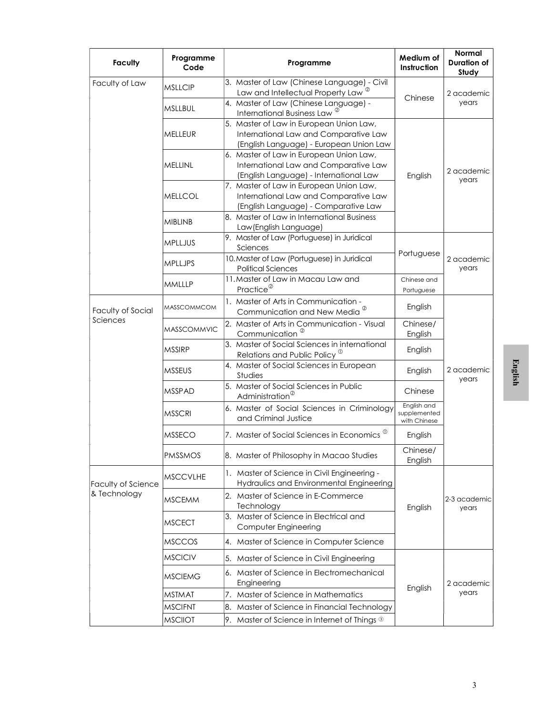| <b>Faculty</b>     | Programme<br>Code  | Programme                                                                                                                   | Medium of<br>Instruction                    | Normal<br><b>Duration of</b><br>Study |  |
|--------------------|--------------------|-----------------------------------------------------------------------------------------------------------------------------|---------------------------------------------|---------------------------------------|--|
| Faculty of Law     | <b>MSLLCIP</b>     | 3. Master of Law (Chinese Language) - Civil<br>Law and Intellectual Property Law <sup>®</sup>                               |                                             | 2 academic                            |  |
|                    | <b>MSLLBUL</b>     | 4. Master of Law (Chinese Language) -<br>International Business Law <sup>®</sup>                                            | Chinese                                     | years                                 |  |
|                    | MELLEUR            | 5. Master of Law in European Union Law,<br>International Law and Comparative Law<br>(English Language) - European Union Law |                                             |                                       |  |
|                    | MELLINL            | 6. Master of Law in European Union Law,<br>International Law and Comparative Law<br>(English Language) - International Law  | English                                     | 2 academic<br>years                   |  |
|                    | MELLCOL            | 7. Master of Law in European Union Law,<br>International Law and Comparative Law<br>(English Language) - Comparative Law    |                                             |                                       |  |
|                    | <b>MIBLINB</b>     | 8. Master of Law in International Business<br>Law(English Language)                                                         |                                             |                                       |  |
|                    | <b>MPLLJUS</b>     | 9. Master of Law (Portuguese) in Juridical<br>Sciences                                                                      | Portuguese                                  |                                       |  |
|                    | <b>MPLLJPS</b>     | 10. Master of Law (Portuguese) in Juridical<br><b>Political Sciences</b>                                                    |                                             | 2 academic<br>years                   |  |
|                    | <b>MMLLLP</b>      | 11. Master of Law in Macau Law and<br>Practice <sup>@</sup>                                                                 | Chinese and<br>Portuguese                   |                                       |  |
| Faculty of Social  | <b>MASSCOMMCOM</b> | 1. Master of Arts in Communication -<br>Communication and New Media <sup><sup>2</sup></sup>                                 | English                                     |                                       |  |
| Sciences           | <b>MASSCOMMVIC</b> | 2. Master of Arts in Communication - Visual<br>Communication <sup>®</sup>                                                   | Chinese/<br>English                         |                                       |  |
|                    | <b>MSSIRP</b>      | 3. Master of Social Sciences in international<br>Relations and Public Policy <sup>®</sup>                                   | English                                     |                                       |  |
|                    | <b>MSSEUS</b>      | 4. Master of Social Sciences in European<br>Studies                                                                         | English                                     | 2 academic<br>years                   |  |
|                    | <b>MSSPAD</b>      | 5. Master of Social Sciences in Public<br>Administration <sup>®</sup>                                                       | Chinese                                     |                                       |  |
|                    | <b>MSSCRI</b>      | 6. Master of Social Sciences in Criminology<br>and Criminal Justice                                                         | English and<br>supplemented<br>with Chinese |                                       |  |
|                    | <b>MSSECO</b>      | 7. Master of Social Sciences in Economics $^\mathbb{O}$                                                                     | English                                     |                                       |  |
|                    | <b>PMSSMOS</b>     | 8. Master of Philosophy in Macao Studies                                                                                    | Chinese/<br>English                         |                                       |  |
| Faculty of Science | <b>MSCCVLHE</b>    | 1. Master of Science in Civil Engineering -<br>Hydraulics and Environmental Engineering                                     |                                             |                                       |  |
| & Technology       | <b>MSCEMM</b>      | 2. Master of Science in E-Commerce<br>Technology                                                                            | English                                     | 2-3 academic<br>years                 |  |
|                    | <b>MSCECT</b>      | 3. Master of Science in Electrical and<br>Computer Engineering                                                              |                                             |                                       |  |
|                    | <b>MSCCOS</b>      | 4. Master of Science in Computer Science                                                                                    |                                             |                                       |  |
|                    | <b>MSCICIV</b>     | 5. Master of Science in Civil Engineering                                                                                   |                                             |                                       |  |
|                    | <b>MSCIEMG</b>     | 6. Master of Science in Electromechanical<br>Engineering                                                                    |                                             | 2 academic                            |  |
|                    | <b>MSTMAT</b>      | 7. Master of Science in Mathematics                                                                                         | English                                     | years                                 |  |
|                    | <b>MSCIFNT</b>     | 8. Master of Science in Financial Technology                                                                                |                                             |                                       |  |
|                    | <b>MSCIIOT</b>     | 9. Master of Science in Internet of Things 3                                                                                |                                             |                                       |  |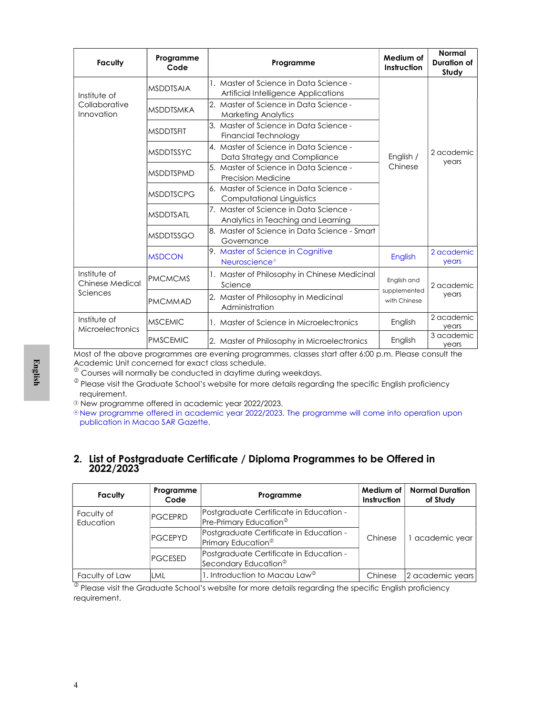| <b>Faculty</b>                          | Programme<br>Code | Programme                                                                      | Medium of<br>Instruction     | <b>Normal</b><br>Duration of<br>Study |
|-----------------------------------------|-------------------|--------------------------------------------------------------------------------|------------------------------|---------------------------------------|
| Institute of                            | <b>MSDDTSAIA</b>  | 1. Master of Science in Data Science -<br>Artificial Intelligence Applications |                              |                                       |
| Collaborative<br>Innovation             | <b>MSDDTSMKA</b>  | 2. Master of Science in Data Science -<br><b>Marketing Analytics</b>           |                              |                                       |
|                                         | <b>MSDDTSFIT</b>  | 3. Master of Science in Data Science -<br>Financial Technology                 |                              |                                       |
|                                         | <b>MSDDTSSYC</b>  | 4. Master of Science in Data Science -<br>Data Strategy and Compliance         | English /                    | 2 academic<br>years                   |
|                                         | <b>MSDDTSPMD</b>  | 5. Master of Science in Data Science -<br><b>Precision Medicine</b>            | Chinese                      |                                       |
|                                         | <b>MSDDTSCPG</b>  | 6. Master of Science in Data Science -<br>Computational Linguistics            |                              |                                       |
|                                         | <b>MSDDTSATL</b>  | 7. Master of Science in Data Science -<br>Analytics in Teaching and Learning   |                              |                                       |
|                                         | <b>MSDDTSSGO</b>  | 8. Master of Science in Data Science - Smart<br>Governance                     |                              |                                       |
|                                         | <b>MSDCON</b>     | 9. Master of Science in Cognitive<br>Neuroscience <sup>®</sup>                 | English                      | 2 academic<br>years                   |
| Institute of<br><b>Chinese Medical</b>  | <b>PMCMCMS</b>    | 1. Master of Philosophy in Chinese Medicinal<br>Science                        | English and                  | 2 academic<br>years                   |
| Sciences                                | <b>PMCMMAD</b>    | 2. Master of Philosophy in Medicinal<br>Administration                         | supplemented<br>with Chinese |                                       |
| Institute of<br><b>Microelectronics</b> | <b>MSCEMIC</b>    | 1. Master of Science in Microelectronics                                       | English                      | 2 academic<br>years                   |
|                                         | <b>PMSCEMIC</b>   | 2. Master of Philosophy in Microelectronics                                    | English                      | 3 academic<br>years                   |

Most of the above programmes are evening programmes, classes start after 6:00 p.m. Please consult the Academic Unit concerned for exact class schedule.

### 2. List of Postgraduate Certificate / Diploma Programmes to be Offered in 2022/2023

| 2022/2023               |                   |                                                                               |                          | 2. List of Postgraduate Certificate / Diploma Programmes to be Offered in |
|-------------------------|-------------------|-------------------------------------------------------------------------------|--------------------------|---------------------------------------------------------------------------|
| <b>Faculty</b>          | Programme<br>Code | Programme                                                                     | Medium of<br>Instruction | <b>Normal Duration</b><br>of Study                                        |
| Faculty of<br>Education | <b>PGCEPRD</b>    | Postgraduate Certificate in Education -<br>Pre-Primary Education <sup>®</sup> |                          |                                                                           |
|                         | <b>PGCEPYD</b>    | Postgraduate Certificate in Education -<br>Primary Education <sup>®</sup>     | Chinese                  | 1 academic year                                                           |
|                         | <b>PGCESED</b>    | Postgraduate Certificate in Education -<br>Secondary Education <sup>®</sup>   |                          |                                                                           |
| Faculty of Law          | LML               | 1. Introduction to Macau Law <sup>®</sup>                                     | Chinese                  | 2 academic years                                                          |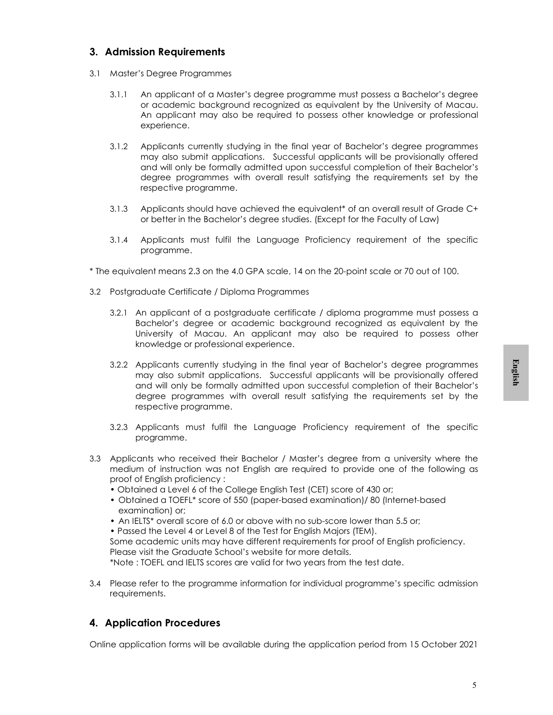### 3. Admission Requirements

- 3.1 Master's Degree Programmes
	- 3.1.1 An applicant of a Master's degree programme must possess a Bachelor's degree or academic background recognized as equivalent by the University of Macau. An applicant may also be required to possess other knowledge or professional experience.
	- 3.1.2 Applicants currently studying in the final year of Bachelor's degree programmes may also submit applications. Successful applicants will be provisionally offered and will only be formally admitted upon successful completion of their Bachelor's degree programmes with overall result satisfying the requirements set by the respective programme.
	- 3.1.3 Applicants should have achieved the equivalent\* of an overall result of Grade C+ or better in the Bachelor's degree studies. (Except for the Faculty of Law)
	- 3.1.4 Applicants must fulfil the Language Proficiency requirement of the specific programme.
- \* The equivalent means 2.3 on the 4.0 GPA scale, 14 on the 20-point scale or 70 out of 100.
- 3.2 Postgraduate Certificate / Diploma Programmes
	- 3.2.1 An applicant of a postgraduate certificate / diploma programme must possess a Bachelor's degree or academic background recognized as equivalent by the University of Macau. An applicant may also be required to possess other knowledge or professional experience.
	- 5 English 3.2.2 Applicants currently studying in the final year of Bachelor's degree programmes may also submit applications. Successful applicants will be provisionally offered and will only be formally admitted upon successful completion of their Bachelor's degree programmes with overall result satisfying the requirements set by the respective programme.
	- 3.2.3 Applicants must fulfil the Language Proficiency requirement of the specific programme.
- 3.3 Applicants who received their Bachelor / Master's degree from a university where the medium of instruction was not English are required to provide one of the following as proof of English proficiency :
	- Obtained a Level 6 of the College English Test (CET) score of 430 or;
	- Obtained a TOEFL\* score of 550 (paper-based examination)/ 80 (Internet-based examination) or;
	- An IELTS\* overall score of 6.0 or above with no sub-score lower than 5.5 or;
	- Passed the Level 4 or Level 8 of the Test for English Majors (TEM).

Some academic units may have different requirements for proof of English proficiency. Please visit the Graduate School's website for more details.

\*Note : TOEFL and IELTS scores are valid for two years from the test date.

3.4 Please refer to the programme information for individual programme's specific admission requirements.

### 4. Application Procedures

Online application forms will be available during the application period from 15 October 2021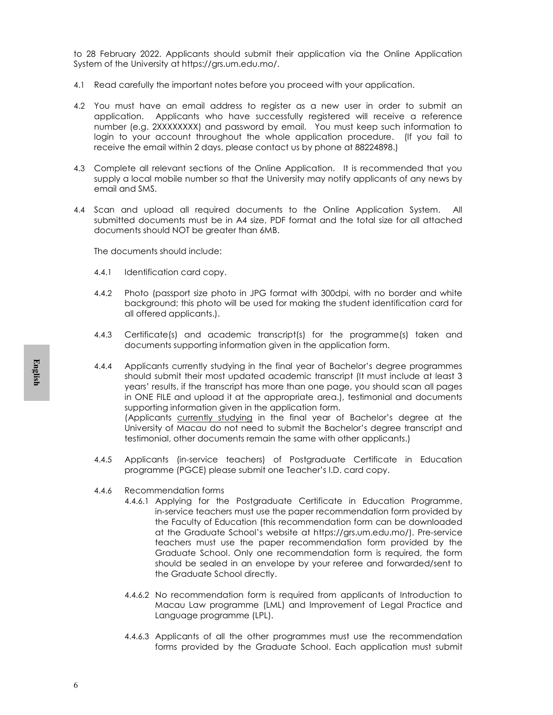to 28 February 2022. Applicants should submit their application via the Online Application System of the University at https://grs.um.edu.mo/.

- 4.1 Read carefully the important notes before you proceed with your application.
- 4.2 You must have an email address to register as a new user in order to submit an application. Applicants who have successfully registered will receive a reference number (e.g. 2XXXXXXXX) and password by email. You must keep such information to login to your account throughout the whole application procedure. (If you fail to receive the email within 2 days, please contact us by phone at 88224898.)
- 4.3 Complete all relevant sections of the Online Application. It is recommended that you supply a local mobile number so that the University may notify applicants of any news by email and SMS.
- 4.4 Scan and upload all required documents to the Online Application System. All submitted documents must be in A4 size, PDF format and the total size for all attached documents should NOT be greater than 6MB.

The documents should include:

- 4.4.1 Identification card copy.
- 4.4.2 Photo (passport size photo in JPG format with 300dpi, with no border and white background; this photo will be used for making the student identification card for all offered applicants.).
- 4.4.3 Certificate(s) and academic transcript(s) for the programme(s) taken and documents supporting information given in the application form.
- 4.4.<br> **4.4.**<br>
4.4.<br>
4.4.<br>
4.4.<br>
4.4. 4.4.4 Applicants currently studying in the final year of Bachelor's degree programmes should submit their most updated academic transcript (It must include at least 3 years' results, if the transcript has more than one page, you should scan all pages in ONE FILE and upload it at the appropriate area.), testimonial and documents supporting information given in the application form. (Applicants currently studying in the final year of Bachelor's degree at the

University of Macau do not need to submit the Bachelor's degree transcript and testimonial, other documents remain the same with other applicants.)

- 4.4.5 Applicants (in-service teachers) of Postgraduate Certificate in Education programme (PGCE) please submit one Teacher's I.D. card copy.
- 4.4.6 Recommendation forms
	- 4.4.6.1 Applying for the Postgraduate Certificate in Education Programme, in-service teachers must use the paper recommendation form provided by the Faculty of Education (this recommendation form can be downloaded at the Graduate School's website at https://grs.um.edu.mo/). Pre-service teachers must use the paper recommendation form provided by the Graduate School. Only one recommendation form is required, the form should be sealed in an envelope by your referee and forwarded/sent to the Graduate School directly.
	- 4.4.6.2 No recommendation form is required from applicants of Introduction to Macau Law programme (LML) and Improvement of Legal Practice and Language programme (LPL).
	- 4.4.6.3 Applicants of all the other programmes must use the recommendation forms provided by the Graduate School. Each application must submit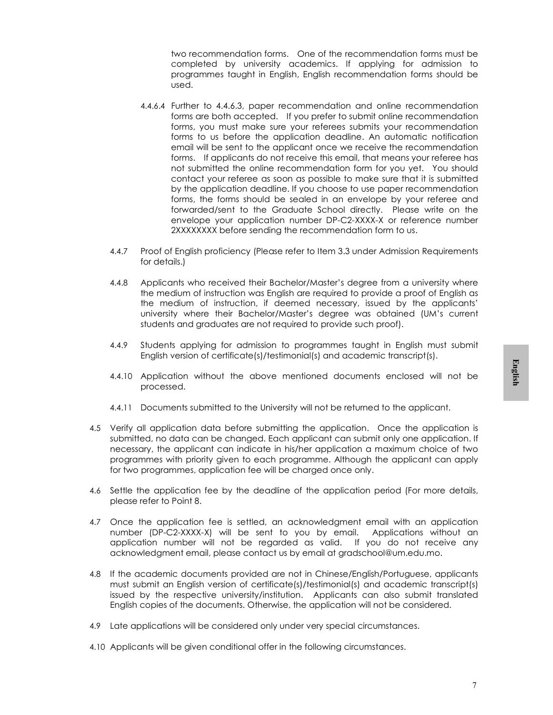two recommendation forms. One of the recommendation forms must be completed by university academics. If applying for admission to programmes taught in English, English recommendation forms should be used.

- 4.4.6.4 Further to 4.4.6.3, paper recommendation and online recommendation forms are both accepted. If you prefer to submit online recommendation forms, you must make sure your referees submits your recommendation forms to us before the application deadline. An automatic notification email will be sent to the applicant once we receive the recommendation forms. If applicants do not receive this email, that means your referee has not submitted the online recommendation form for you yet. You should contact your referee as soon as possible to make sure that it is submitted by the application deadline. If you choose to use paper recommendation forms, the forms should be sealed in an envelope by your referee and forwarded/sent to the Graduate School directly. Please write on the envelope your application number DP-C2-XXXX-X or reference number 2XXXXXXXX before sending the recommendation form to us.
- 4.4.7 Proof of English proficiency (Please refer to Item 3.3 under Admission Requirements for details.)
- 4.4.8 Applicants who received their Bachelor/Master's degree from a university where the medium of instruction was English are required to provide a proof of English as the medium of instruction, if deemed necessary, issued by the applicants' university where their Bachelor/Master's degree was obtained (UM's current students and graduates are not required to provide such proof).
- 4.4.9 Students applying for admission to programmes taught in English must submit English version of certificate(s)/testimonial(s) and academic transcript(s).
- 4.4.10 Application without the above mentioned documents enclosed will not be processed.
- 4.4.11 Documents submitted to the University will not be returned to the applicant.
- 7 English 4.5 Verify all application data before submitting the application. Once the application is submitted, no data can be changed. Each applicant can submit only one application. If necessary, the applicant can indicate in his/her application a maximum choice of two programmes with priority given to each programme. Although the applicant can apply for two programmes, application fee will be charged once only.
- 4.6 Settle the application fee by the deadline of the application period (For more details, please refer to Point 8.
- 4.7 Once the application fee is settled, an acknowledgment email with an application number (DP-C2-XXXX-X) will be sent to you by email. Applications without an application number will not be regarded as valid. If you do not receive any acknowledgment email, please contact us by email at gradschool@um.edu.mo.
- 4.8 If the academic documents provided are not in Chinese/English/Portuguese, applicants must submit an English version of certificate(s)/testimonial(s) and academic transcript(s) issued by the respective university/institution. Applicants can also submit translated English copies of the documents. Otherwise, the application will not be considered.
- 4.9 Late applications will be considered only under very special circumstances.
- 4.10 Applicants will be given conditional offer in the following circumstances.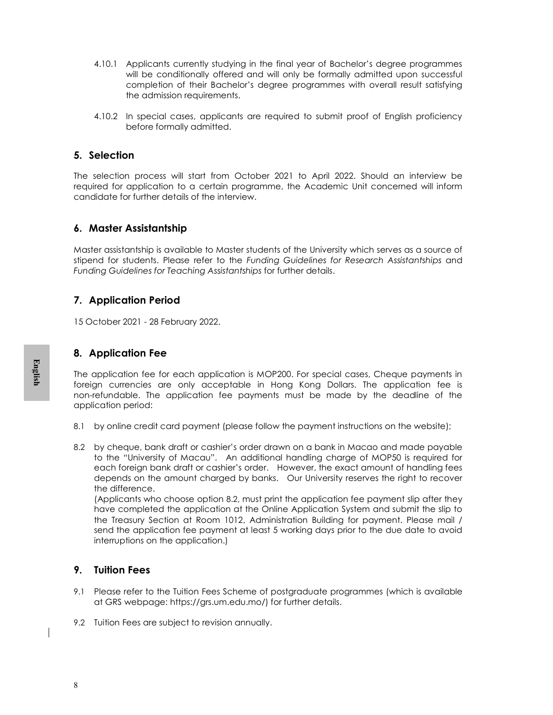- 4.10.1 Applicants currently studying in the final year of Bachelor's degree programmes will be conditionally offered and will only be formally admitted upon successful completion of their Bachelor's degree programmes with overall result satisfying the admission requirements.
- 4.10.2 In special cases, applicants are required to submit proof of English proficiency before formally admitted.

### 5. Selection

The selection process will start from October 2021 to April 2022. Should an interview be required for application to a certain programme, the Academic Unit concerned will inform candidate for further details of the interview.

### 6. Master Assistantship

Master assistantship is available to Master students of the University which serves as a source of stipend for students. Please refer to the Funding Guidelines for Research Assistantships and Funding Guidelines for Teaching Assistantships for further details.

### 7. Application Period

15 October 2021 - 28 February 2022.

### 8. Application Fee

The application fee for each application is MOP200. For special cases, Cheque payments in foreign currencies are only acceptable in Hong Kong Dollars. The application fee is non-refundable. The application fee payments must be made by the deadline of the application period:

- 8.1 by online credit card payment (please follow the payment instructions on the website);
- Framesh The app<br>
foreign<br>
non-refu<br>
applicad<br>
8.1 by<br>
8.2 by<br>
to t ead<br>
der the<br>
(Applicad der the<br>
inte<br>
sen<br>
inte<br>
9. Tuit<br>
9. Tuit<br>
9. Tuit<br>
9. Tuit<br>
8.<br>
2 Tuit<br>
8.<br>
2 Tuit 8.2 by cheque, bank draft or cashier's order drawn on a bank in Macao and made payable to the "University of Macau". An additional handling charge of MOP50 is required for each foreign bank draft or cashier's order. However, the exact amount of handling fees depends on the amount charged by banks. Our University reserves the right to recover the difference.

(Applicants who choose option 8.2, must print the application fee payment slip after they have completed the application at the Online Application System and submit the slip to the Treasury Section at Room 1012, Administration Building for payment. Please mail / send the application fee payment at least 5 working days prior to the due date to avoid interruptions on the application.)

### 9. Tuition Fees

- 9.1 Please refer to the Tuition Fees Scheme of postgraduate programmes (which is available at GRS webpage: https://grs.um.edu.mo/) for further details.
- 9.2 Tuition Fees are subject to revision annually.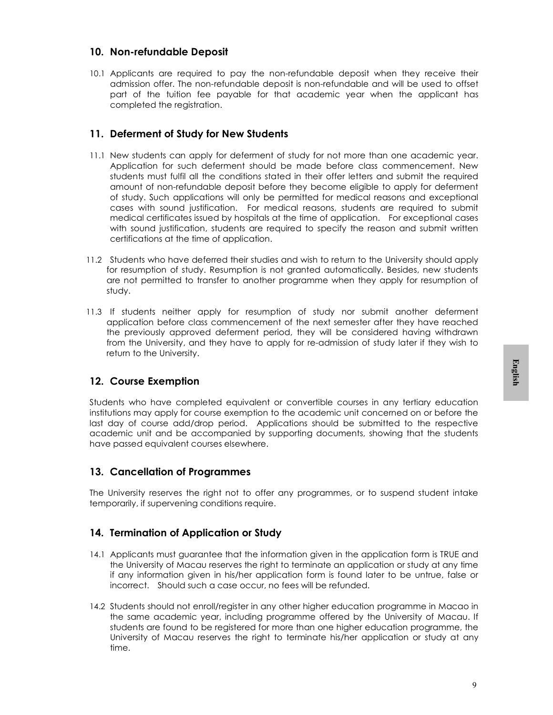### 10. Non-refundable Deposit

10.1 Applicants are required to pay the non-refundable deposit when they receive their admission offer. The non-refundable deposit is non-refundable and will be used to offset part of the tuition fee payable for that academic year when the applicant has completed the registration.

### 11. Deferment of Study for New Students

- 11.1 New students can apply for deferment of study for not more than one academic year. Application for such deferment should be made before class commencement. New students must fulfil all the conditions stated in their offer letters and submit the required amount of non-refundable deposit before they become eligible to apply for deferment of study. Such applications will only be permitted for medical reasons and exceptional cases with sound justification. For medical reasons, students are required to submit medical certificates issued by hospitals at the time of application. For exceptional cases with sound justification, students are required to specify the reason and submit written certifications at the time of application.
- 11.2 Students who have deferred their studies and wish to return to the University should apply for resumption of study. Resumption is not granted automatically. Besides, new students are not permitted to transfer to another programme when they apply for resumption of study.
- 11.3 If students neither apply for resumption of study nor submit another deferment application before class commencement of the next semester after they have reached the previously approved deferment period, they will be considered having withdrawn from the University, and they have to apply for re-admission of study later if they wish to return to the University.

### 12. Course Exemption

Students who have completed equivalent or convertible courses in any tertiary education institutions may apply for course exemption to the academic unit concerned on or before the last day of course add/drop period. Applications should be submitted to the respective academic unit and be accompanied by supporting documents, showing that the students have passed equivalent courses elsewhere.

### 13. Cancellation of Programmes

The University reserves the right not to offer any programmes, or to suspend student intake temporarily, if supervening conditions require.

### 14. Termination of Application or Study

- 14.1 Applicants must guarantee that the information given in the application form is TRUE and the University of Macau reserves the right to terminate an application or study at any time if any information given in his/her application form is found later to be untrue, false or incorrect. Should such a case occur, no fees will be refunded.
- Pushigning<br>Pushigning<br>Pushigning<br>Pushigning<br>Pushigning<br>Pushigning<br>Pushigning<br>Pushigning<br>Pushigning<br>Pushigning<br>Pushigning<br>Pushigning<br>Pushigning<br>Pushigning<br>Pushigning<br>Pushigning<br>Pushigning<br>Pushigning<br>Pushigning<br>Pushigning<br>Pu 14.2 Students should not enroll/register in any other higher education programme in Macao in the same academic year, including programme offered by the University of Macau. If students are found to be registered for more than one higher education programme, the University of Macau reserves the right to terminate his/her application or study at any time.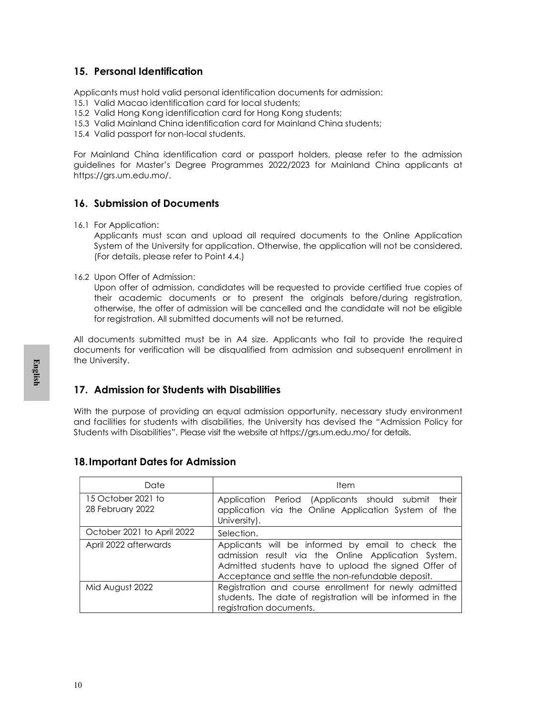### 15. Personal Identification

Applicants must hold valid personal identification documents for admission:

- 15.1 Valid Macao identification card for local students;
- 15.2 Valid Hong Kong identification card for Hong Kong students;
- 15.3 Valid Mainland China identification card for Mainland China students;
- 15.4 Valid passport for non-local students.

For Mainland China identification card or passport holders, please refer to the admission guidelines for Master's Degree Programmes 2022/2023 for Mainland China applicants at https://grs.um.edu.mo/.

### 16. Submission of Documents

16.1 For Application:

Applicants must scan and upload all required documents to the Online Application System of the University for application. Otherwise, the application will not be considered. (For details, please refer to Point 4.4.)

16.2 Upon Offer of Admission:

Upon offer of admission, candidates will be requested to provide certified true copies of their academic documents or to present the originals before/during registration, otherwise, the offer of admission will be cancelled and the candidate will not be eligible for registration. All submitted documents will not be returned.

All documents submitted must be in A4 size. Applicants who fail to provide the required documents for verification will be disqualified from admission and subsequent enrollment in the University.

### 17. Admission for Students with Disabilities

### 18.Important Dates for Admission

|                                          | With the purpose of providing an equal admission opportunity, necessary study environment<br>and facilities for students with disabilities, the University has devised the "Admission Policy for<br>Students with Disabilities". Please visit the website at https://grs.um.edu.mo/ for details. |
|------------------------------------------|--------------------------------------------------------------------------------------------------------------------------------------------------------------------------------------------------------------------------------------------------------------------------------------------------|
| <b>18. Important Dates for Admission</b> |                                                                                                                                                                                                                                                                                                  |
| Date                                     | Item                                                                                                                                                                                                                                                                                             |
| 15 October 2021 to<br>28 February 2022   | Application Period (Applicants should submit<br>application via the Online Application System of the<br>University).                                                                                                                                                                             |
| October 2021 to April 2022               | Selection.                                                                                                                                                                                                                                                                                       |
| April 2022 afterwards                    | Applicants will be informed by email to check the<br>admission result via the Online Application System.<br>Admitted students have to upload the signed Offer of<br>Acceptance and settle the non-refundable deposit.                                                                            |
| Mid August 2022                          | Registration and course enrollment for newly admitted<br>students. The date of registration will be informed in the<br>registration documents.                                                                                                                                                   |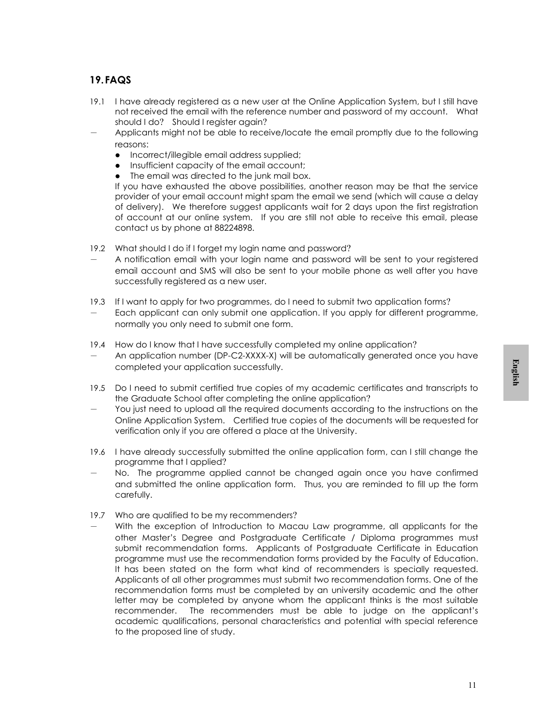### 19.FAQS

- 19.1 I have already registered as a new user at the Online Application System, but I still have not received the email with the reference number and password of my account. What should I do? Should I register again?
- Applicants might not be able to receive/locate the email promptly due to the following reasons:
	- Incorrect/illegible email address supplied;
	- Insufficient capacity of the email account;
	- The email was directed to the junk mail box.

If you have exhausted the above possibilities, another reason may be that the service provider of your email account might spam the email we send (which will cause a delay of delivery). We therefore suggest applicants wait for 2 days upon the first registration of account at our online system. If you are still not able to receive this email, please contact us by phone at 88224898.

- 19.2 What should I do if I forget my login name and password?
- A notification email with your login name and password will be sent to your registered email account and SMS will also be sent to your mobile phone as well after you have successfully registered as a new user.
- 19.3 If I want to apply for two programmes, do I need to submit two application forms? Each applicant can only submit one application. If you apply for different programme, normally you only need to submit one form.
- 19.4 How do I know that I have successfully completed my online application?
- An application number (DP-C2-XXXX-X) will be automatically generated once you have completed your application successfully.
- 19.5 Do I need to submit certified true copies of my academic certificates and transcripts to the Graduate School after completing the online application?
- You just need to upload all the required documents according to the instructions on the Online Application System. Certified true copies of the documents will be requested for verification only if you are offered a place at the University.
- 19.6 I have already successfully submitted the online application form, can I still change the programme that I applied?
- No. The programme applied cannot be changed again once you have confirmed and submitted the online application form. Thus, you are reminded to fill up the form carefully.
- 19.7 Who are qualified to be my recommenders?
- to<br>to the<br>for<br>the ed<br>mm<br>the ed<br>on m.<br>al.<br>al.<br>al.<br>alistice<br>it's<br>ce With the exception of Introduction to Macau Law programme, all applicants for the other Master's Degree and Postgraduate Certificate / Diploma programmes must submit recommendation forms. Applicants of Postgraduate Certificate in Education programme must use the recommendation forms provided by the Faculty of Education. It has been stated on the form what kind of recommenders is specially requested. Applicants of all other programmes must submit two recommendation forms. One of the recommendation forms must be completed by an university academic and the other letter may be completed by anyone whom the applicant thinks is the most suitable recommender. The recommenders must be able to judge on the applicant's academic qualifications, personal characteristics and potential with special reference to the proposed line of study.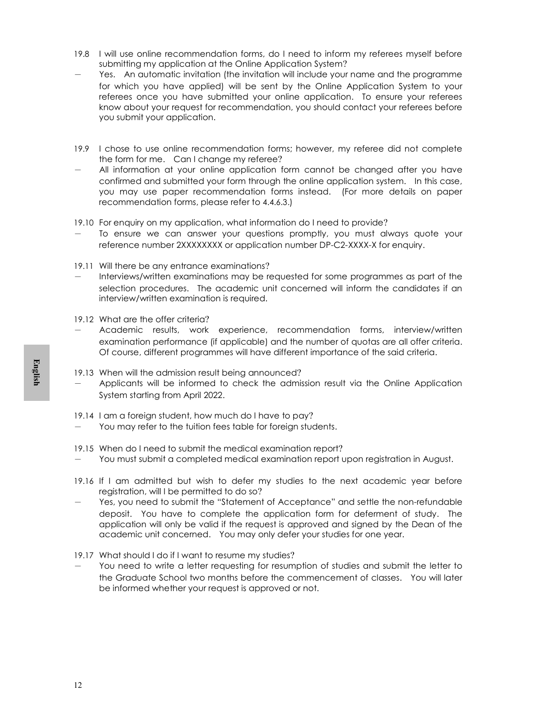- 19.8 I will use online recommendation forms, do I need to inform my referees myself before submitting my application at the Online Application System?
- Yes. An automatic invitation (the invitation will include your name and the programme for which you have applied) will be sent by the Online Application System to your referees once you have submitted your online application. To ensure your referees know about your request for recommendation, you should contact your referees before you submit your application.
- 19.9 I chose to use online recommendation forms; however, my referee did not complete the form for me. Can I change my referee?
- All information at your online application form cannot be changed after you have confirmed and submitted your form through the online application system. In this case, you may use paper recommendation forms instead. (For more details on paper recommendation forms, please refer to 4.4.6.3.)
- 19.10 For enquiry on my application, what information do I need to provide?
- To ensure we can answer your questions promptly, you must always quote your reference number 2XXXXXXXX or application number DP-C2-XXXX-X for enquiry.
- 19.11 Will there be any entrance examinations?
- Interviews/written examinations may be requested for some programmes as part of the selection procedures. The academic unit concerned will inform the candidates if an interview/written examination is required.
- 19.12 What are the offer criteria?
- Academic results, work experience, recommendation forms, interview/written examination performance (if applicable) and the number of quotas are all offer criteria. Of course, different programmes will have different importance of the said criteria.
- 19.13 When will the admission result being announced? Applicants will be informed to check the admission result via the Online Application System starting from April 2022.
- 19.14 I am a foreign student, how much do I have to pay?
	- You may refer to the tuition fees table for foreign students.
- 19.15 When do I need to submit the medical examination report?
	- You must submit a completed medical examination report upon registration in August.
- 19.16 If I am admitted but wish to defer my studies to the next academic year before registration, will I be permitted to do so?
- 19.13 W<br>
 Af Sy<br>
19.14 I c<br>
 Y C<br>
19.15 W<br>
 Y C<br>
19.15 W<br>
 Y C<br>
19.16 If<br>
 Y e de ap<br>
ac<br>
19.17 W<br>
 Y C<br>
th be<br>
 Y C<br>
19.17 W Yes, you need to submit the "Statement of Acceptance" and settle the non-refundable deposit. You have to complete the application form for deferment of study. The application will only be valid if the request is approved and signed by the Dean of the academic unit concerned. You may only defer your studies for one year.
	- 19.17 What should I do if I want to resume my studies?
	- You need to write a letter requesting for resumption of studies and submit the letter to the Graduate School two months before the commencement of classes. You will later be informed whether your request is approved or not.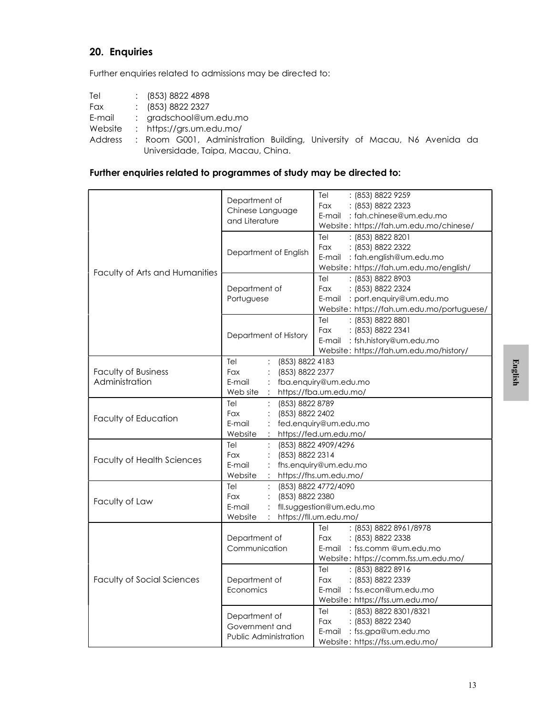### 20. Enquiries

Further enquiries related to admissions may be directed to:

| Tel    | (853) 8822 4898          |
|--------|--------------------------|
| Fax    | (853) 8822 2327          |
| E-mail | $:$ gradschool@um.edu.mo |

Website : https://grs.um.edu.mo/

Address : Room G001, Administration Building, University of Macau, N6 Avenida da Universidade, Taipa, Macau, China.

### Further enquiries related to programmes of study may be directed to:

|                                       | Department of<br>Chinese Language<br>and Literature                    | : (853) 8822 9259<br>Tel<br>Fax<br>: (853) 8822 2323<br>E-mail: fah.chinese@um.edu.mo<br>Website: https://fah.um.edu.mo/chinese/      |         |
|---------------------------------------|------------------------------------------------------------------------|---------------------------------------------------------------------------------------------------------------------------------------|---------|
|                                       | Department of English                                                  | Tel<br>: (853) 8822 8201<br>: (853) 8822 2322<br>Fax<br>E-mail : fah.english@um.edu.mo<br>Website: https://fah.um.edu.mo/english/     |         |
| Faculty of Arts and Humanities        | Department of<br>Portuguese                                            | : (853) 8822 8903<br>Tel<br>: (853) 8822 2324<br>Fax<br>E-mail : port.enquiry@um.edu.mo<br>Website: https://fah.um.edu.mo/portuguese/ |         |
|                                       | Department of History                                                  | : (853) 8822 8801<br>Tel<br>Fax<br>: (853) 8822 2341<br>E-mail : fsh.history@um.edu.mo<br>Website: https://fah.um.edu.mo/history/     |         |
| Faculty of Business<br>Administration | (853) 8822 4183<br>Tel<br>(853) 8822 2377<br>Fax<br>E-mail<br>Web site | fba.enquiry@um.edu.mo<br>https://fba.um.edu.mo/                                                                                       | English |
| Faculty of Education                  | (853) 8822 8789<br>Tel<br>(853) 8822 2402<br>Fax<br>E-mail<br>Website  | fed.enquiry@um.edu.mo<br>https://fed.um.edu.mo/                                                                                       |         |
| <b>Faculty of Health Sciences</b>     | Tel<br>Fax<br>(853) 8822 2314<br>E-mail<br>Website                     | (853) 8822 4909/4296<br>fhs.enquiry@um.edu.mo<br>https://fhs.um.edu.mo/                                                               |         |
| Faculty of Law                        | Tel<br>(853) 8822 2380<br>Fax<br>E-mail<br>Website                     | (853) 8822 4772/4090<br>fll.suggestion@um.edu.mo<br>https://fll.um.edu.mo/                                                            |         |
|                                       | Department of<br>Communication                                         | Tel<br>: (853) 8822 8961/8978<br>: (853) 8822 2338<br>Fax<br>E-mail : fss.comm@um.edu.mo<br>Website: https://comm.fss.um.edu.mo/      |         |
| <b>Faculty of Social Sciences</b>     | Department of<br>Economics                                             | Tel<br>: (853) 8822 8916<br>: (853) 8822 2339<br>Fax<br>E-mail: fss.econ@um.edu.mo<br>Website: https://fss.um.edu.mo/                 |         |
|                                       | Department of<br>Government and<br>Public Administration               | Tel<br>: (853) 8822 8301/8321<br>: (853) 8822 2340<br>Fax<br>E-mail: fss.gpa@um.edu.mo<br>Website: https://fss.um.edu.mo/             |         |
|                                       |                                                                        | 13                                                                                                                                    |         |